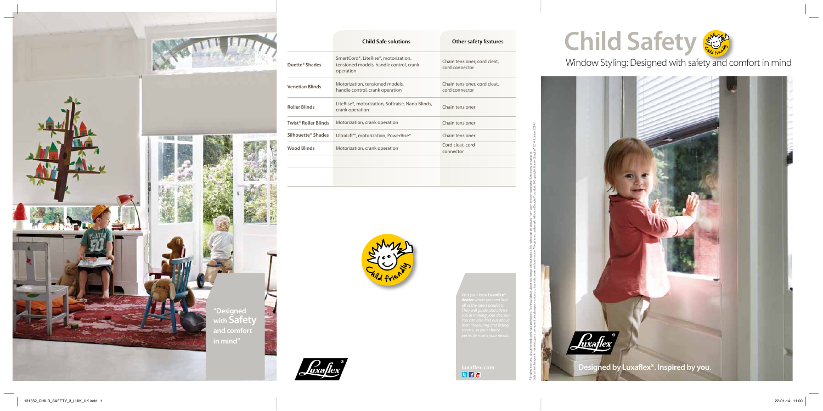

# Window Styling: Designed with safety and comfort in mind



|                                  | <b>Child Safe solutions</b>                                                                                            | <b>Other safety features</b>                   |
|----------------------------------|------------------------------------------------------------------------------------------------------------------------|------------------------------------------------|
| Duette <sup>®</sup> Shades       | SmartCord <sup>®</sup> , LiteRise <sup>®</sup> , motorization,<br>tensioned models, handle control, crank<br>operation | Chain tensioner, cord cleat,<br>cord connector |
| <b>Venetian Blinds</b>           | Motorization, tensioned models,<br>handle control, crank operation                                                     | Chain tensioner, cord cleat,<br>cord connector |
| <b>Roller Blinds</b>             | LiteRise®, motorization, Softraise, Nano Blinds,<br>crank operation                                                    | Chain tensioner                                |
| Twist <sup>®</sup> Roller Blinds | Motorization, crank operation                                                                                          | Chain tensioner                                |
| Silhouette <sup>®</sup> Shades   | UltraLift™, motorization, PowerRise®                                                                                   | Chain tensioner                                |
| <b>Wood Blinds</b>               | Motorization, crank operation                                                                                          | Cord cleat, cord<br>connector                  |
|                                  |                                                                                                                        |                                                |

![](_page_0_Picture_2.jpeg)

![](_page_0_Picture_4.jpeg)

![](_page_0_Picture_11.jpeg)

![](_page_0_Picture_5.jpeg)

All rights reserved. Unauthorised copying is prohibited. Technical data subject to change without notice. No rights can be derived from copy, text pertaining to illustrations or samples.

Subject to changes in materials, parts, compositions, designs, versions, colours etc., even with out ioes.® Registered trademark. A HunterDouglas® product. © Copyright HunterDouglas® 2014. Edition 2014/1.